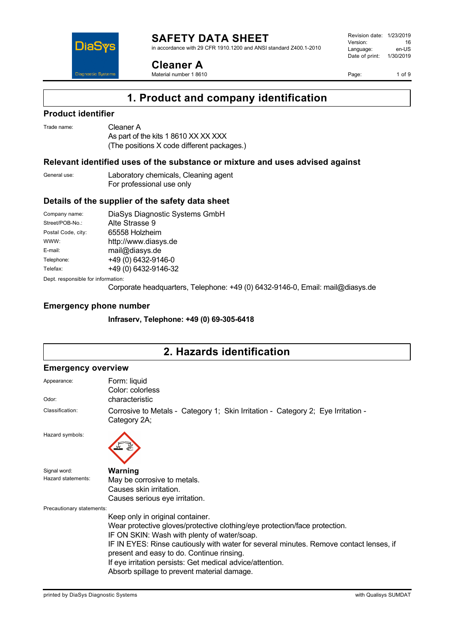DiaS **Diagnostic Syste** 

**Cleaner A** Material number 1 8610 Revision date: 1/23/2019 Version: 16<br>
Language: en-US Language: Date of print: 1/30/2019

Page: 1 of 9

# **1. Product and company identification**

### **Product identifier**

| Trade name: | Cleaner A           |
|-------------|---------------------|
|             | $\Lambda$ o nort of |

As part of the kits 1 8610 XX XX XXX (The positions X code different packages.)

#### **Relevant identified uses of the substance or mixture and uses advised against**

| General use: | Laboratory chemicals, Cleaning agent |
|--------------|--------------------------------------|
|              | For professional use only            |

### **Details of the supplier of the safety data sheet**

| Company name:                     | DiaSys Diagnostic Systems GmbH |  |
|-----------------------------------|--------------------------------|--|
| Street/POB-No.:                   | Alte Strasse 9                 |  |
| Postal Code, city:                | 65558 Holzheim                 |  |
| WWW:                              | http://www.diasys.de           |  |
| E-mail:                           | mail@diasys.de                 |  |
| Telephone:                        | +49 (0) 6432-9146-0            |  |
| Telefax:                          | +49 (0) 6432-9146-32           |  |
| Dent recnoncible for information. |                                |  |

ept. responsible for informa

Corporate headquarters, Telephone: +49 (0) 6432-9146-0, Email: mail@diasys.de

#### **Emergency phone number**

**Infraserv, Telephone: +49 (0) 69-305-6418**

# **2. Hazards identification**

#### **Emergency overview**

| Appearance:               | Form: liquid<br>Color: colorless                                                                 |  |  |
|---------------------------|--------------------------------------------------------------------------------------------------|--|--|
| Odor:                     | characteristic                                                                                   |  |  |
| Classification:           | Corrosive to Metals - Category 1; Skin Irritation - Category 2; Eye Irritation -<br>Category 2A; |  |  |
| Hazard symbols:           |                                                                                                  |  |  |
| Signal word:              | Warning                                                                                          |  |  |
| Hazard statements:        | May be corrosive to metals.                                                                      |  |  |
|                           | Causes skin irritation.                                                                          |  |  |
|                           | Causes serious eye irritation.                                                                   |  |  |
| Precautionary statements: |                                                                                                  |  |  |
|                           | Keep only in original container.                                                                 |  |  |
|                           | Wear protective gloves/protective clothing/eye protection/face protection.                       |  |  |
|                           | IF ON SKIN: Wash with plenty of water/soap.                                                      |  |  |
|                           | IF IN EYES: Rinse cautiously with water for several minutes. Remove contact lenses, if           |  |  |
|                           | present and easy to do. Continue rinsing.                                                        |  |  |
|                           | If eye irritation persists: Get medical advice/attention.                                        |  |  |
|                           | Absorb spillage to prevent material damage.                                                      |  |  |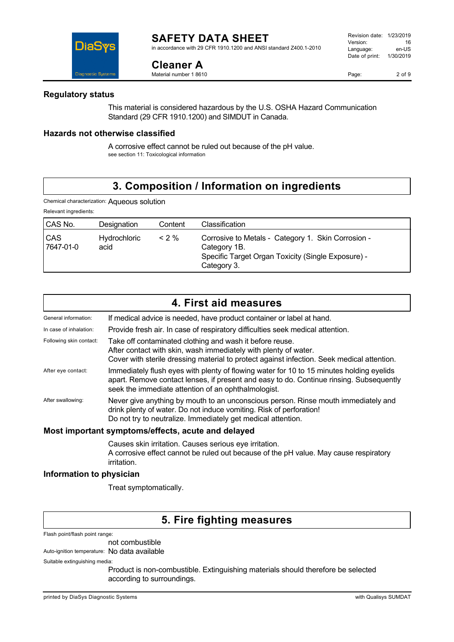**Cleaner A** Material number 1 8610

in accordance with 29 CFR 1910.1200 and ANSI standard Z400.1-2010

### **Regulatory status**

This material is considered hazardous by the U.S. OSHA Hazard Communication Standard (29 CFR 1910.1200) and SIMDUT in Canada.

### **Hazards not otherwise classified**

A corrosive effect cannot be ruled out because of the pH value. see section 11: Toxicological information

### **3. Composition / Information on ingredients**

Chemical characterization: Aqueous solution

| Relevant ingredients:   |                      |         |                                                                                                                                         |
|-------------------------|----------------------|---------|-----------------------------------------------------------------------------------------------------------------------------------------|
| CAS No.                 | Designation          | Content | Classification                                                                                                                          |
| <b>CAS</b><br>7647-01-0 | Hydrochloric<br>acid | $<$ 2 % | Corrosive to Metals - Category 1. Skin Corrosion -<br>Category 1B.<br>Specific Target Organ Toxicity (Single Exposure) -<br>Category 3. |

|                         | 4. First aid measures                                                                                                                                                                                                                      |
|-------------------------|--------------------------------------------------------------------------------------------------------------------------------------------------------------------------------------------------------------------------------------------|
| General information:    | If medical advice is needed, have product container or label at hand.                                                                                                                                                                      |
| In case of inhalation:  | Provide fresh air. In case of respiratory difficulties seek medical attention.                                                                                                                                                             |
| Following skin contact: | Take off contaminated clothing and wash it before reuse.<br>After contact with skin, wash immediately with plenty of water.<br>Cover with sterile dressing material to protect against infection. Seek medical attention.                  |
| After eye contact:      | Immediately flush eyes with plenty of flowing water for 10 to 15 minutes holding eyelids<br>apart. Remove contact lenses, if present and easy to do. Continue rinsing. Subsequently<br>seek the immediate attention of an ophthalmologist. |
| After swallowing:       | Never give anything by mouth to an unconscious person. Rinse mouth immediately and<br>drink plenty of water. Do not induce vomiting. Risk of perforation!<br>Do not try to neutralize. Immediately get medical attention.                  |
|                         | Most important symptoms/effects, acute and delayed                                                                                                                                                                                         |

Causes skin irritation. Causes serious eye irritation. A corrosive effect cannot be ruled out because of the pH value. May cause respiratory irritation.

#### **Information to physician**

Treat symptomatically.

### **5. Fire fighting measures**

Flash point/flash point range:

not combustible

Auto-ignition temperature: No data available

Suitable extinguishing media:

Product is non-combustible. Extinguishing materials should therefore be selected according to surroundings.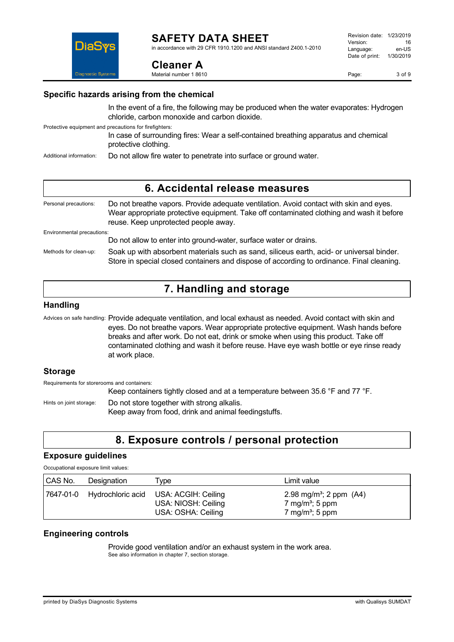in accordance with 29 CFR 1910.1200 and ANSI standard Z400.1-2010

Page: 3 of 9

### **Specific hazards arising from the chemical**

In the event of a fire, the following may be produced when the water evaporates: Hydrogen chloride, carbon monoxide and carbon dioxide.

Protective equipment and precautions for firefighters:

In case of surrounding fires: Wear a self-contained breathing apparatus and chemical protective clothing.

Additional information: Do not allow fire water to penetrate into surface or ground water.

**Cleaner A** Material number 1 8610

### **6. Accidental release measures** Personal precautions: Do not breathe vapors. Provide adequate ventilation. Avoid contact with skin and eyes. Wear appropriate protective equipment. Take off contaminated clothing and wash it before reuse. Keep unprotected people away. Environmental precautions: Do not allow to enter into ground-water, surface water or drains. Methods for clean-up: Soak up with absorbent materials such as sand, siliceus earth, acid- or universal binder. Store in special closed containers and dispose of according to ordinance. Final cleaning.

## **7. Handling and storage**

### **Handling**

Advices on safe handling: Provide adequate ventilation, and local exhaust as needed. Avoid contact with skin and eyes. Do not breathe vapors. Wear appropriate protective equipment. Wash hands before breaks and after work. Do not eat, drink or smoke when using this product. Take off contaminated clothing and wash it before reuse. Have eye wash bottle or eye rinse ready at work place.

### **Storage**

Requirements for storerooms and containers: Keep containers tightly closed and at a temperature between 35.6 °F and 77 °F. Hints on joint storage: Do not store together with strong alkalis. Keep away from food, drink and animal feedingstuffs.

# **8. Exposure controls / personal protection**

### **Exposure guidelines**

Occupational exposure limit values:

| CAS No. | Designation                 | Type                                                             | Limit value                                                                                         |
|---------|-----------------------------|------------------------------------------------------------------|-----------------------------------------------------------------------------------------------------|
|         | 7647-01-0 Hydrochloric acid | USA: ACGIH: Ceiling<br>USA: NIOSH: Ceiling<br>USA: OSHA: Ceiling | 2.98 mg/m <sup>3</sup> ; 2 ppm $(A4)$<br>7 mg/m <sup>3</sup> ; 5 ppm<br>7 mg/m <sup>3</sup> ; 5 ppm |

### **Engineering controls**

Provide good ventilation and/or an exhaust system in the work area. See also information in chapter 7, section storage.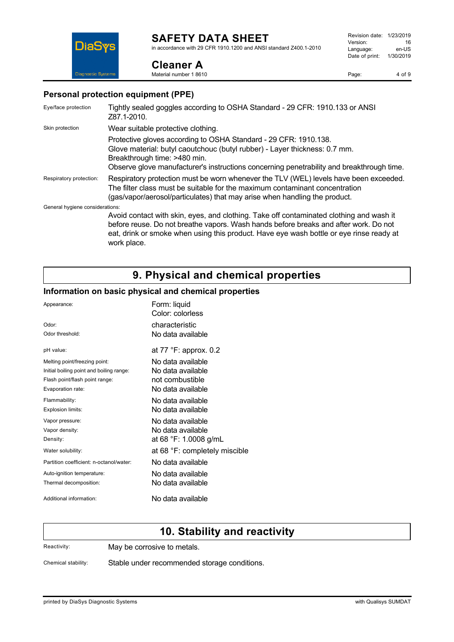**Cleaner A** Material number 1 8610

in accordance with 29 CFR 1910.1200 and ANSI standard Z400.1-2010

Page: 4 of 9

### **Personal protection equipment (PPE)**

| Eye/face protection             | Tightly sealed goggles according to OSHA Standard - 29 CFR: 1910.133 or ANSI<br>Z87.1-2010.                                                                                                                                                                                               |
|---------------------------------|-------------------------------------------------------------------------------------------------------------------------------------------------------------------------------------------------------------------------------------------------------------------------------------------|
| Skin protection                 | Wear suitable protective clothing.                                                                                                                                                                                                                                                        |
|                                 | Protective gloves according to OSHA Standard - 29 CFR: 1910.138.<br>Glove material: butyl caoutchouc (butyl rubber) - Layer thickness: 0.7 mm.<br>Breakthrough time: >480 min.<br>Observe glove manufacturer's instructions concerning penetrability and breakthrough time.               |
| Respiratory protection:         | Respiratory protection must be worn whenever the TLV (WEL) levels have been exceeded.<br>The filter class must be suitable for the maximum contaminant concentration<br>(gas/vapor/aerosol/particulates) that may arise when handling the product.                                        |
| General hygiene considerations: |                                                                                                                                                                                                                                                                                           |
|                                 | Avoid contact with skin, eyes, and clothing. Take off contaminated clothing and wash it<br>before reuse. Do not breathe vapors. Wash hands before breaks and after work. Do not<br>eat, drink or smoke when using this product. Have eye wash bottle or eye rinse ready at<br>work place. |

## **9. Physical and chemical properties**

### **Information on basic physical and chemical properties**

| Appearance:                              | Form: liquid<br>Color: colorless |
|------------------------------------------|----------------------------------|
| Odor:                                    | characteristic                   |
| Odor threshold:                          | No data available                |
| pH value:                                | at 77 °F: approx. 0.2            |
| Melting point/freezing point:            | No data available                |
| Initial boiling point and boiling range: | No data available                |
| Flash point/flash point range:           | not combustible                  |
| Evaporation rate:                        | No data available                |
| Flammability:                            | No data available                |
| Explosion limits:                        | No data available                |
| Vapor pressure:                          | No data available                |
| Vapor density:                           | No data available                |
| Density:                                 | at 68 °F: 1.0008 g/mL            |
| Water solubility:                        | at 68 °F: completely miscible    |
| Partition coefficient: n-octanol/water:  | No data available                |
| Auto-ignition temperature:               | No data available                |
| Thermal decomposition:                   | No data available                |
| Additional information:                  | No data available                |

### **10. Stability and reactivity**

Reactivity: May be corrosive to metals.

Chemical stability: Stable under recommended storage conditions.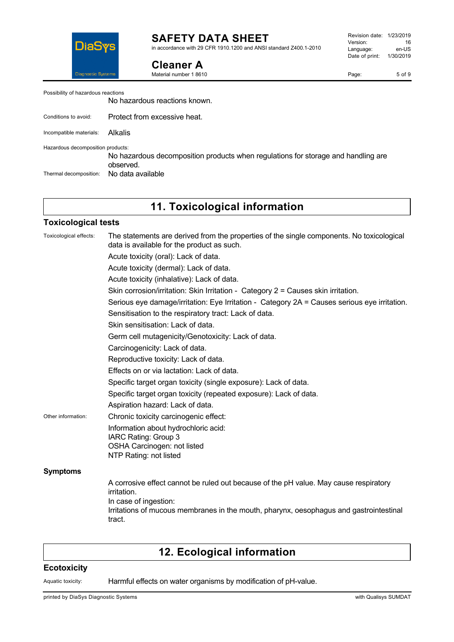

in accordance with 29 CFR 1910.1200 and ANSI standard Z400.1-2010

### **Cleaner A**

Material number 1 8610

Revision date: 1/23/2019 Version: 16<br>
Language: en-US Language: Date of print: 1/30/2019

Page: 5 of 9

No hazardous reactions known.

Conditions to avoid: Protect from excessive heat.

Incompatible materials: Alkalis

Hazardous decomposition products:

No hazardous decomposition products when regulations for storage and handling are observed. Thermal decomposition: No data available

**11. Toxicological information**

#### **Toxicological tests**

| Toxicological effects: | The statements are derived from the properties of the single components. No toxicological<br>data is available for the product as such. |
|------------------------|-----------------------------------------------------------------------------------------------------------------------------------------|
|                        | Acute toxicity (oral): Lack of data.                                                                                                    |
|                        | Acute toxicity (dermal): Lack of data.                                                                                                  |
|                        | Acute toxicity (inhalative): Lack of data.                                                                                              |
|                        | Skin corrosion/irritation: Skin Irritation - Category 2 = Causes skin irritation.                                                       |
|                        | Serious eye damage/irritation: Eye Irritation - Category 2A = Causes serious eye irritation.                                            |
|                        | Sensitisation to the respiratory tract: Lack of data.                                                                                   |
|                        | Skin sensitisation: Lack of data.                                                                                                       |
|                        | Germ cell mutagenicity/Genotoxicity: Lack of data.                                                                                      |
|                        | Carcinogenicity: Lack of data.                                                                                                          |
|                        | Reproductive toxicity: Lack of data.                                                                                                    |
|                        | Effects on or via lactation: Lack of data.                                                                                              |
|                        | Specific target organ toxicity (single exposure): Lack of data.                                                                         |
|                        | Specific target organ toxicity (repeated exposure): Lack of data.                                                                       |
|                        | Aspiration hazard: Lack of data.                                                                                                        |
| Other information:     | Chronic toxicity carcinogenic effect:                                                                                                   |
|                        | Information about hydrochloric acid:                                                                                                    |
|                        | IARC Rating: Group 3                                                                                                                    |
|                        | OSHA Carcinogen: not listed<br>NTP Rating: not listed                                                                                   |
|                        |                                                                                                                                         |
| <b>Symptoms</b>        |                                                                                                                                         |
|                        | A corrosive effect cannot be ruled out because of the pH value. May cause respiratory<br>irritation.                                    |
|                        | In case of ingestion:                                                                                                                   |
|                        | Irritations of mucous membranes in the mouth, pharynx, oesophagus and gastrointestinal<br>tract.                                        |

# **12. Ecological information**

### **Ecotoxicity**

Aquatic toxicity: Harmful effects on water organisms by modification of pH-value.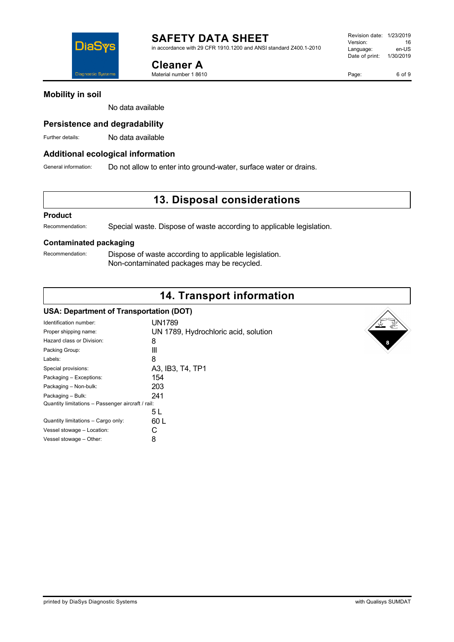DiaS iagnostic Syste

**Cleaner A** Material number 1 8610

Page: 6 of 9

### **Mobility in soil**

No data available

### **Persistence and degradability**

Further details: No data available

### **Additional ecological information**

General information: Do not allow to enter into ground-water, surface water or drains.

### **13. Disposal considerations**

#### **Product**

Recommendation: Special waste. Dispose of waste according to applicable legislation.

#### **Contaminated packaging**

Recommendation: Dispose of waste according to applicable legislation. Non-contaminated packages may be recycled.

### **14. Transport information**

#### **USA: Department of Transportation (DOT)**

| Identification number:                            | UN1789                               |  |
|---------------------------------------------------|--------------------------------------|--|
| Proper shipping name:                             | UN 1789, Hydrochloric acid, solution |  |
| Hazard class or Division:                         | 8                                    |  |
| Packing Group:                                    | Ш                                    |  |
| Labels:                                           | 8                                    |  |
| Special provisions:                               | A3, IB3, T4, TP1                     |  |
| Packaging - Exceptions:                           | 154                                  |  |
| Packaging - Non-bulk:                             | 203                                  |  |
| Packaging - Bulk:                                 | 241                                  |  |
| Quantity limitations - Passenger aircraft / rail: |                                      |  |
|                                                   | 5 L                                  |  |
| Quantity limitations - Cargo only:                | 60 L                                 |  |
| Vessel stowage - Location:                        | C                                    |  |
| Vessel stowage - Other:                           | 8                                    |  |
|                                                   |                                      |  |

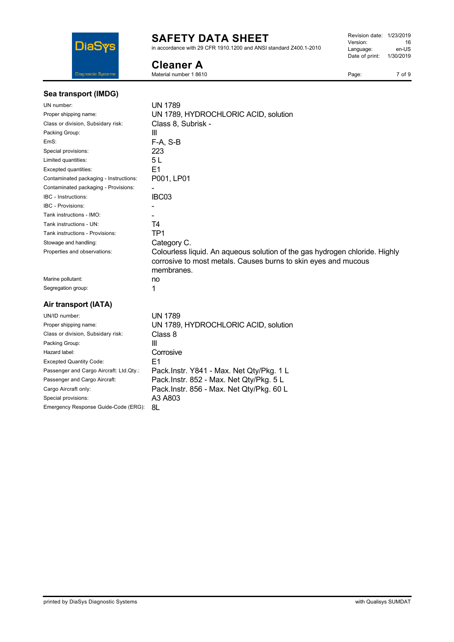

in accordance with 29 CFR 1910.1200 and ANSI standard Z400.1-2010

### **Cleaner A**

Material number 1 8610

Revision date: 1/23/2019 Version: 16<br>Language: en-US Language: Date of print: 1/30/2019

Page: 7 of 9

| Sea transport (IMDG)                    |                                                                                                                                                             |
|-----------------------------------------|-------------------------------------------------------------------------------------------------------------------------------------------------------------|
| UN number:                              | <b>UN 1789</b>                                                                                                                                              |
| Proper shipping name:                   | UN 1789, HYDROCHLORIC ACID, solution                                                                                                                        |
| Class or division, Subsidary risk:      | Class 8, Subrisk -                                                                                                                                          |
| Packing Group:                          | Ш                                                                                                                                                           |
| EmS:                                    | $F-A, S-B$                                                                                                                                                  |
| Special provisions:                     | 223                                                                                                                                                         |
| Limited quantities:                     | 5 L                                                                                                                                                         |
| Excepted quantities:                    | E <sub>1</sub>                                                                                                                                              |
| Contaminated packaging - Instructions:  | P001, LP01                                                                                                                                                  |
| Contaminated packaging - Provisions:    |                                                                                                                                                             |
| <b>IBC</b> - Instructions:              | IBC03                                                                                                                                                       |
| <b>IBC - Provisions:</b>                |                                                                                                                                                             |
| Tank instructions - IMO:                |                                                                                                                                                             |
| Tank instructions - UN:                 | T4                                                                                                                                                          |
| Tank instructions - Provisions:         | TP1                                                                                                                                                         |
| Stowage and handling:                   | Category C.                                                                                                                                                 |
| Properties and observations:            | Colourless liquid. An aqueous solution of the gas hydrogen chloride. Highly<br>corrosive to most metals. Causes burns to skin eyes and mucous<br>membranes. |
| Marine pollutant:                       | no                                                                                                                                                          |
| Segregation group:                      | 1                                                                                                                                                           |
| Air transport (IATA)                    |                                                                                                                                                             |
| UN/ID number:                           | <b>UN 1789</b>                                                                                                                                              |
| Proper shipping name:                   | UN 1789, HYDROCHLORIC ACID, solution                                                                                                                        |
| Class or division, Subsidary risk:      | Class 8                                                                                                                                                     |
| Packing Group:                          | Ш                                                                                                                                                           |
| Hazard label:                           | Corrosive                                                                                                                                                   |
| <b>Excepted Quantity Code:</b>          | E1                                                                                                                                                          |
| Passenger and Cargo Aircraft: Ltd.Qty.: | Pack.Instr. Y841 - Max. Net Qty/Pkg. 1 L                                                                                                                    |
| Passenger and Cargo Aircraft:           | Pack.Instr. 852 - Max. Net Qty/Pkg. 5 L                                                                                                                     |
| Cargo Aircraft only:                    | Pack.Instr. 856 - Max. Net Qty/Pkg. 60 L                                                                                                                    |
| Special provisions:                     | A3 A803                                                                                                                                                     |
| Emergency Response Guide-Code (ERG):    | 8L                                                                                                                                                          |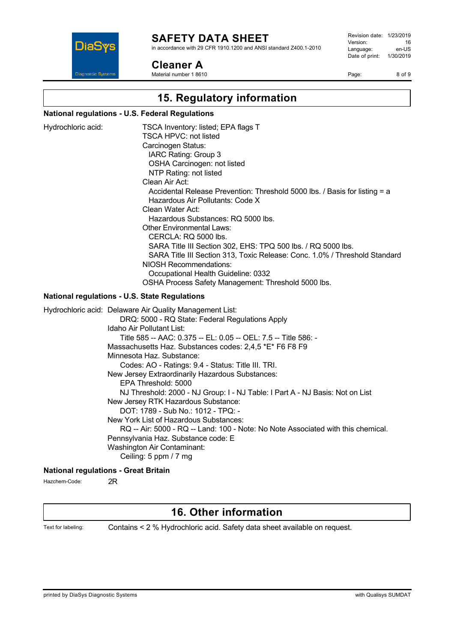

in accordance with 29 CFR 1910.1200 and ANSI standard Z400.1-2010

### **Cleaner A**

Material number 1 8610

Revision date: 1/23/2019 Version: 16<br>
Language: en-US Language: Date of print: 1/30/2019

Page: 8 of 9

# **15. Regulatory information**

### **National regulations - U.S. Federal Regulations**

| Hydrochloric acid:                                   | TSCA Inventory: listed; EPA flags T<br><b>TSCA HPVC: not listed</b><br>Carcinogen Status:<br>IARC Rating: Group 3<br>OSHA Carcinogen: not listed<br>NTP Rating: not listed<br>Clean Air Act:<br>Accidental Release Prevention: Threshold 5000 lbs. / Basis for listing = a<br>Hazardous Air Pollutants: Code X<br>Clean Water Act:<br>Hazardous Substances: RQ 5000 lbs.<br><b>Other Environmental Laws:</b><br>CERCLA: RQ 5000 lbs.<br>SARA Title III Section 302, EHS: TPQ 500 lbs. / RQ 5000 lbs.<br>SARA Title III Section 313, Toxic Release: Conc. 1.0% / Threshold Standard<br>NIOSH Recommendations:<br>Occupational Health Guideline: 0332<br>OSHA Process Safety Management: Threshold 5000 lbs.                                                                                                                      |
|------------------------------------------------------|---------------------------------------------------------------------------------------------------------------------------------------------------------------------------------------------------------------------------------------------------------------------------------------------------------------------------------------------------------------------------------------------------------------------------------------------------------------------------------------------------------------------------------------------------------------------------------------------------------------------------------------------------------------------------------------------------------------------------------------------------------------------------------------------------------------------------------|
| <b>National regulations - U.S. State Regulations</b> |                                                                                                                                                                                                                                                                                                                                                                                                                                                                                                                                                                                                                                                                                                                                                                                                                                 |
| <b>National regulations - Great Britain</b>          | Hydrochloric acid: Delaware Air Quality Management List:<br>DRQ: 5000 - RQ State: Federal Regulations Apply<br>Idaho Air Pollutant List:<br>Title 585 -- AAC: 0.375 -- EL: 0.05 -- OEL: 7.5 -- Title 586: -<br>Massachusetts Haz. Substances codes: 2,4,5 *E* F6 F8 F9<br>Minnesota Haz. Substance:<br>Codes: AO - Ratings: 9.4 - Status: Title III. TRI.<br>New Jersey Extraordinarily Hazardous Substances:<br>EPA Threshold: 5000<br>NJ Threshold: 2000 - NJ Group: I - NJ Table: I Part A - NJ Basis: Not on List<br>New Jersey RTK Hazardous Substance:<br>DOT: 1789 - Sub No.: 1012 - TPQ: -<br>New York List of Hazardous Substances:<br>RQ -- Air: 5000 - RQ -- Land: 100 - Note: No Note Associated with this chemical.<br>Pennsylvania Haz. Substance code: E<br>Washington Air Contaminant:<br>Ceiling: 5 ppm / 7 mg |

Hazchem-Code: 2R

## **16. Other information**

Text for labeling: Contains < 2 % Hydrochloric acid. Safety data sheet available on request.